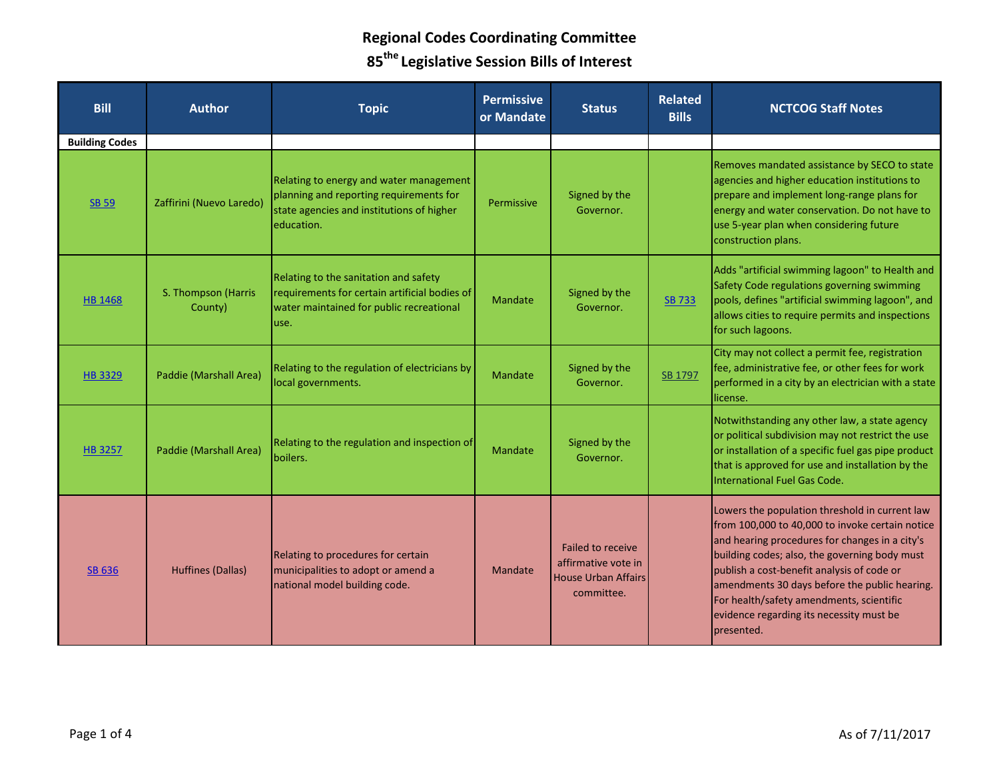| <b>Bill</b>           | <b>Author</b>                  | <b>Topic</b>                                                                                                                                  | <b>Permissive</b><br>or Mandate | <b>Status</b>                                                                               | <b>Related</b><br><b>Bills</b> | <b>NCTCOG Staff Notes</b>                                                                                                                                                                                                                                                                                                                                                                                 |
|-----------------------|--------------------------------|-----------------------------------------------------------------------------------------------------------------------------------------------|---------------------------------|---------------------------------------------------------------------------------------------|--------------------------------|-----------------------------------------------------------------------------------------------------------------------------------------------------------------------------------------------------------------------------------------------------------------------------------------------------------------------------------------------------------------------------------------------------------|
| <b>Building Codes</b> |                                |                                                                                                                                               |                                 |                                                                                             |                                |                                                                                                                                                                                                                                                                                                                                                                                                           |
| <b>SB 59</b>          | Zaffirini (Nuevo Laredo)       | Relating to energy and water management<br>planning and reporting requirements for<br>state agencies and institutions of higher<br>education. | Permissive                      | Signed by the<br>Governor.                                                                  |                                | Removes mandated assistance by SECO to state<br>agencies and higher education institutions to<br>prepare and implement long-range plans for<br>energy and water conservation. Do not have to<br>use 5-year plan when considering future<br>construction plans.                                                                                                                                            |
| <b>HB 1468</b>        | S. Thompson (Harris<br>County) | Relating to the sanitation and safety<br>requirements for certain artificial bodies of<br>water maintained for public recreational<br>use.    | <b>Mandate</b>                  | Signed by the<br>Governor.                                                                  | <b>SB 733</b>                  | Adds "artificial swimming lagoon" to Health and<br>Safety Code regulations governing swimming<br>pools, defines "artificial swimming lagoon", and<br>allows cities to require permits and inspections<br>for such lagoons.                                                                                                                                                                                |
| <b>HB3329</b>         | Paddie (Marshall Area)         | Relating to the regulation of electricians by<br>local governments.                                                                           | <b>Mandate</b>                  | Signed by the<br>Governor.                                                                  | SB 1797                        | City may not collect a permit fee, registration<br>fee, administrative fee, or other fees for work<br>performed in a city by an electrician with a state<br>license.                                                                                                                                                                                                                                      |
| <b>HB 3257</b>        | Paddie (Marshall Area)         | Relating to the regulation and inspection of<br>boilers.                                                                                      | <b>Mandate</b>                  | Signed by the<br>Governor.                                                                  |                                | Notwithstanding any other law, a state agency<br>or political subdivision may not restrict the use<br>or installation of a specific fuel gas pipe product<br>that is approved for use and installation by the<br>International Fuel Gas Code.                                                                                                                                                             |
| <b>SB 636</b>         | <b>Huffines (Dallas)</b>       | Relating to procedures for certain<br>municipalities to adopt or amend a<br>national model building code.                                     | Mandate                         | <b>Failed to receive</b><br>affirmative vote in<br><b>House Urban Affairs</b><br>committee. |                                | Lowers the population threshold in current law<br>from 100,000 to 40,000 to invoke certain notice<br>and hearing procedures for changes in a city's<br>building codes; also, the governing body must<br>publish a cost-benefit analysis of code or<br>amendments 30 days before the public hearing.<br>For health/safety amendments, scientific<br>evidence regarding its necessity must be<br>presented. |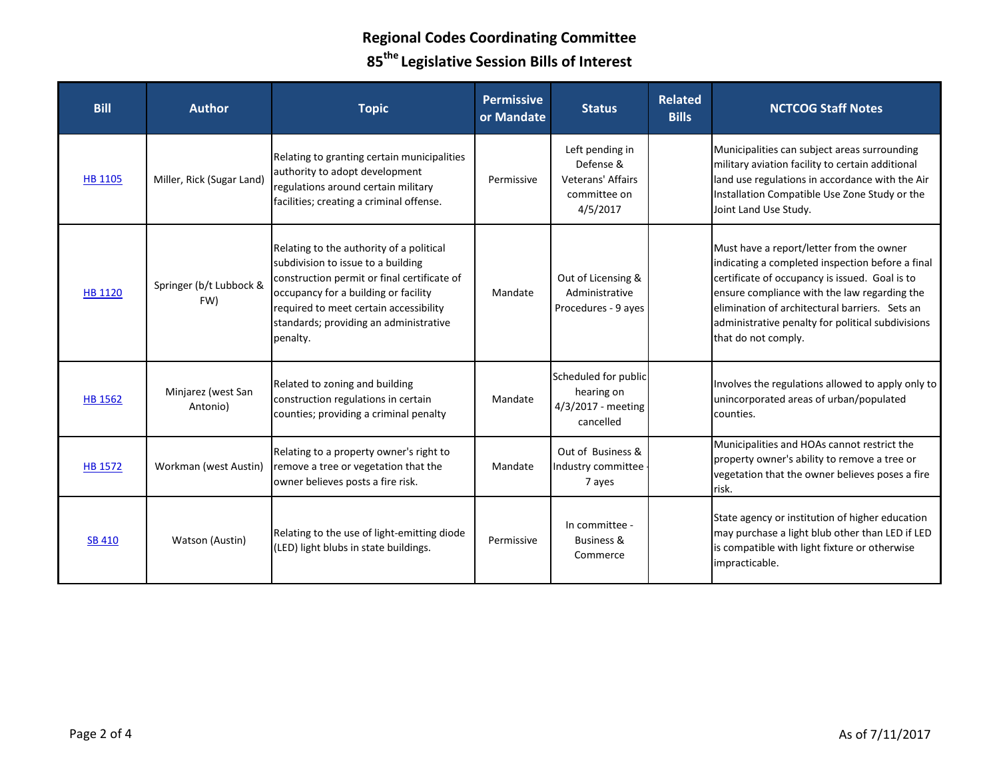| <b>Bill</b>    | <b>Author</b>                  | <b>Topic</b>                                                                                                                                                                                                                                                          | <b>Permissive</b><br>or Mandate | <b>Status</b>                                                                 | <b>Related</b><br><b>Bills</b> | <b>NCTCOG Staff Notes</b>                                                                                                                                                                                                                                                                                                    |
|----------------|--------------------------------|-----------------------------------------------------------------------------------------------------------------------------------------------------------------------------------------------------------------------------------------------------------------------|---------------------------------|-------------------------------------------------------------------------------|--------------------------------|------------------------------------------------------------------------------------------------------------------------------------------------------------------------------------------------------------------------------------------------------------------------------------------------------------------------------|
| <b>HB 1105</b> | Miller, Rick (Sugar Land)      | Relating to granting certain municipalities<br>authority to adopt development<br>regulations around certain military<br>facilities; creating a criminal offense.                                                                                                      | Permissive                      | Left pending in<br>Defense &<br>Veterans' Affairs<br>committee on<br>4/5/2017 |                                | Municipalities can subject areas surrounding<br>military aviation facility to certain additional<br>land use regulations in accordance with the Air<br>Installation Compatible Use Zone Study or the<br>Joint Land Use Study.                                                                                                |
| <b>HB 1120</b> | Springer (b/t Lubbock &<br>FW) | Relating to the authority of a political<br>subdivision to issue to a building<br>construction permit or final certificate of<br>occupancy for a building or facility<br>required to meet certain accessibility<br>standards; providing an administrative<br>penalty. | Mandate                         | Out of Licensing &<br>Administrative<br>Procedures - 9 ayes                   |                                | Must have a report/letter from the owner<br>indicating a completed inspection before a final<br>certificate of occupancy is issued. Goal is to<br>ensure compliance with the law regarding the<br>elimination of architectural barriers. Sets an<br>administrative penalty for political subdivisions<br>that do not comply. |
| <b>HB 1562</b> | Minjarez (west San<br>Antonio) | Related to zoning and building<br>construction regulations in certain<br>counties; providing a criminal penalty                                                                                                                                                       | Mandate                         | Scheduled for public<br>hearing on<br>4/3/2017 - meeting<br>cancelled         |                                | Involves the regulations allowed to apply only to<br>unincorporated areas of urban/populated<br>counties.                                                                                                                                                                                                                    |
| <b>HB 1572</b> | Workman (west Austin)          | Relating to a property owner's right to<br>remove a tree or vegetation that the<br>owner believes posts a fire risk.                                                                                                                                                  | Mandate                         | Out of Business &<br>Industry committee<br>7 ayes                             |                                | Municipalities and HOAs cannot restrict the<br>property owner's ability to remove a tree or<br>vegetation that the owner believes poses a fire<br>risk.                                                                                                                                                                      |
| <b>SB 410</b>  | Watson (Austin)                | Relating to the use of light-emitting diode<br>(LED) light blubs in state buildings.                                                                                                                                                                                  | Permissive                      | In committee -<br><b>Business &amp;</b><br>Commerce                           |                                | State agency or institution of higher education<br>may purchase a light blub other than LED if LED<br>is compatible with light fixture or otherwise<br>impracticable.                                                                                                                                                        |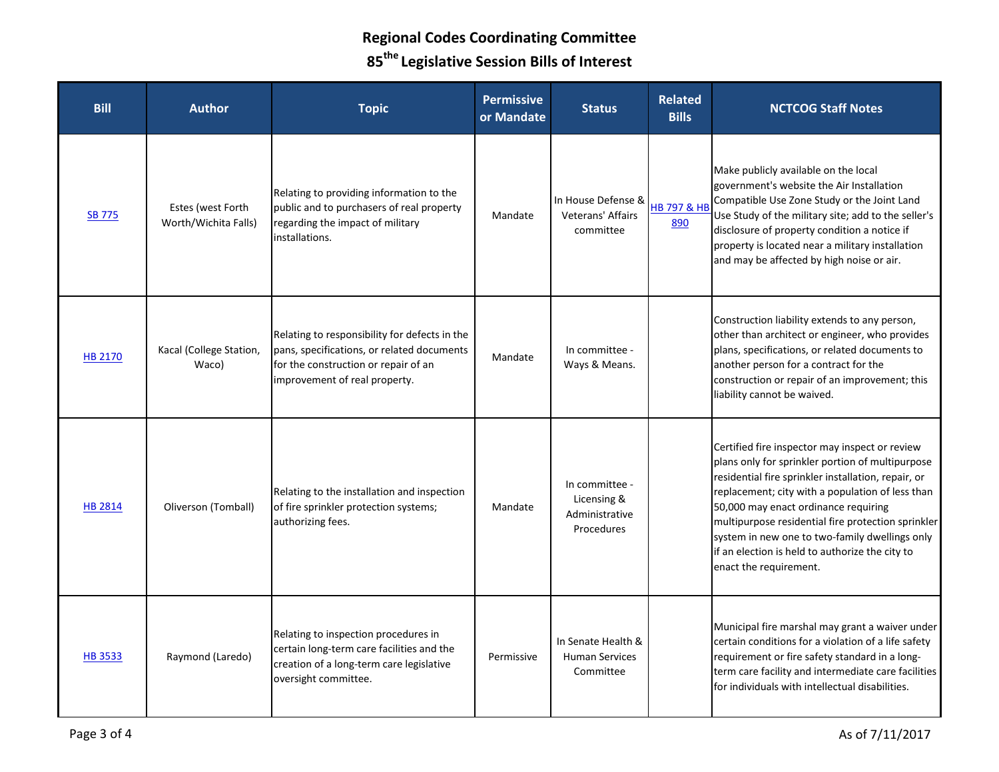| <b>Bill</b>    | <b>Author</b>                             | <b>Topic</b>                                                                                                                                                         | <b>Permissive</b><br>or Mandate | <b>Status</b>                                                 | <b>Related</b><br><b>Bills</b> | <b>NCTCOG Staff Notes</b>                                                                                                                                                                                                                                                                                                                                                                                                                  |
|----------------|-------------------------------------------|----------------------------------------------------------------------------------------------------------------------------------------------------------------------|---------------------------------|---------------------------------------------------------------|--------------------------------|--------------------------------------------------------------------------------------------------------------------------------------------------------------------------------------------------------------------------------------------------------------------------------------------------------------------------------------------------------------------------------------------------------------------------------------------|
| <b>SB 775</b>  | Estes (west Forth<br>Worth/Wichita Falls) | Relating to providing information to the<br>public and to purchasers of real property<br>regarding the impact of military<br>installations.                          | Mandate                         | In House Defense &<br>Veterans' Affairs<br>committee          | HB 797 & HB<br>890             | Make publicly available on the local<br>government's website the Air Installation<br>Compatible Use Zone Study or the Joint Land<br>Use Study of the military site; add to the seller's<br>disclosure of property condition a notice if<br>property is located near a military installation<br>and may be affected by high noise or air.                                                                                                   |
| <b>HB 2170</b> | Kacal (College Station,<br>Waco)          | Relating to responsibility for defects in the<br>pans, specifications, or related documents<br>for the construction or repair of an<br>improvement of real property. | Mandate                         | In committee -<br>Ways & Means.                               |                                | Construction liability extends to any person,<br>other than architect or engineer, who provides<br>plans, specifications, or related documents to<br>another person for a contract for the<br>construction or repair of an improvement; this<br>liability cannot be waived.                                                                                                                                                                |
| <b>HB 2814</b> | Oliverson (Tomball)                       | Relating to the installation and inspection<br>of fire sprinkler protection systems;<br>authorizing fees.                                                            | Mandate                         | In committee -<br>Licensing &<br>Administrative<br>Procedures |                                | Certified fire inspector may inspect or review<br>plans only for sprinkler portion of multipurpose<br>residential fire sprinkler installation, repair, or<br>replacement; city with a population of less than<br>50,000 may enact ordinance requiring<br>multipurpose residential fire protection sprinkler<br>system in new one to two-family dwellings only<br>if an election is held to authorize the city to<br>enact the requirement. |
| <b>HB3533</b>  | Raymond (Laredo)                          | Relating to inspection procedures in<br>certain long-term care facilities and the<br>creation of a long-term care legislative<br>oversight committee.                | Permissive                      | In Senate Health &<br><b>Human Services</b><br>Committee      |                                | Municipal fire marshal may grant a waiver under<br>certain conditions for a violation of a life safety<br>requirement or fire safety standard in a long-<br>term care facility and intermediate care facilities<br>for individuals with intellectual disabilities.                                                                                                                                                                         |